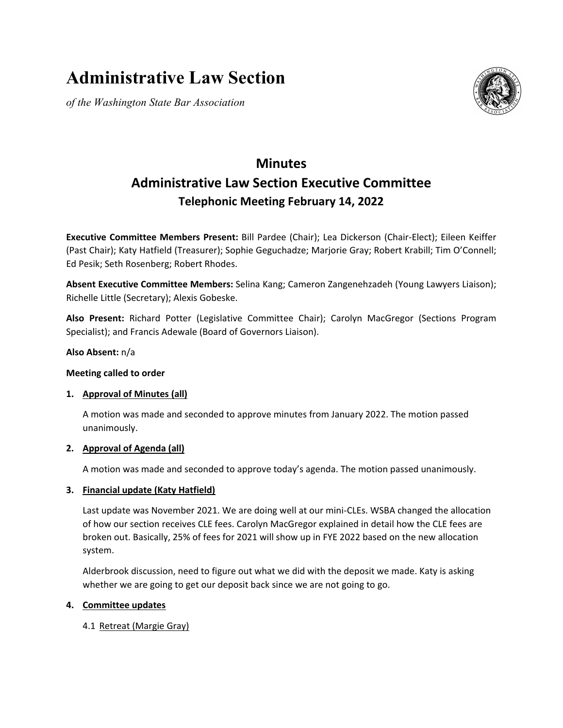# **Administrative Law Section**

*of the Washington State Bar Association*



# **Minutes Administrative Law Section Executive Committee Telephonic Meeting February 14, 2022**

**Executive Committee Members Present:** Bill Pardee (Chair); Lea Dickerson (Chair-Elect); Eileen Keiffer (Past Chair); Katy Hatfield (Treasurer); Sophie Geguchadze; Marjorie Gray; Robert Krabill; Tim O'Connell; Ed Pesik; Seth Rosenberg; Robert Rhodes.

**Absent Executive Committee Members:** Selina Kang; Cameron Zangenehzadeh (Young Lawyers Liaison); Richelle Little (Secretary); Alexis Gobeske.

**Also Present:** Richard Potter (Legislative Committee Chair); Carolyn MacGregor (Sections Program Specialist); and Francis Adewale (Board of Governors Liaison).

#### **Also Absent:** n/a

#### **Meeting called to order**

#### **1. Approval of Minutes (all)**

A motion was made and seconded to approve minutes from January 2022. The motion passed unanimously.

#### **2. Approval of Agenda (all)**

A motion was made and seconded to approve today's agenda. The motion passed unanimously.

#### **3. Financial update (Katy Hatfield)**

Last update was November 2021. We are doing well at our mini-CLEs. WSBA changed the allocation of how our section receives CLE fees. Carolyn MacGregor explained in detail how the CLE fees are broken out. Basically, 25% of fees for 2021 will show up in FYE 2022 based on the new allocation system.

Alderbrook discussion, need to figure out what we did with the deposit we made. Katy is asking whether we are going to get our deposit back since we are not going to go.

#### **4. Committee updates**

4.1 Retreat (Margie Gray)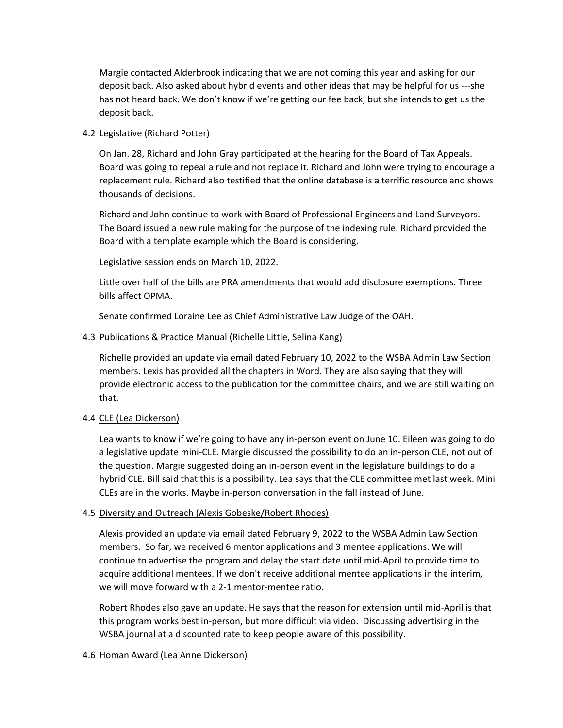Margie contacted Alderbrook indicating that we are not coming this year and asking for our deposit back. Also asked about hybrid events and other ideas that may be helpful for us ---she has not heard back. We don't know if we're getting our fee back, but she intends to get us the deposit back.

#### 4.2 Legislative (Richard Potter)

On Jan. 28, Richard and John Gray participated at the hearing for the Board of Tax Appeals. Board was going to repeal a rule and not replace it. Richard and John were trying to encourage a replacement rule. Richard also testified that the online database is a terrific resource and shows thousands of decisions.

Richard and John continue to work with Board of Professional Engineers and Land Surveyors. The Board issued a new rule making for the purpose of the indexing rule. Richard provided the Board with a template example which the Board is considering.

Legislative session ends on March 10, 2022.

Little over half of the bills are PRA amendments that would add disclosure exemptions. Three bills affect OPMA.

Senate confirmed Loraine Lee as Chief Administrative Law Judge of the OAH.

### 4.3 Publications & Practice Manual (Richelle Little, Selina Kang)

Richelle provided an update via email dated February 10, 2022 to the WSBA Admin Law Section members. Lexis has provided all the chapters in Word. They are also saying that they will provide electronic access to the publication for the committee chairs, and we are still waiting on that.

# 4.4 CLE (Lea Dickerson)

Lea wants to know if we're going to have any in-person event on June 10. Eileen was going to do a legislative update mini-CLE. Margie discussed the possibility to do an in-person CLE, not out of the question. Margie suggested doing an in-person event in the legislature buildings to do a hybrid CLE. Bill said that this is a possibility. Lea says that the CLE committee met last week. Mini CLEs are in the works. Maybe in-person conversation in the fall instead of June.

# 4.5 Diversity and Outreach (Alexis Gobeske/Robert Rhodes)

Alexis provided an update via email dated February 9, 2022 to the WSBA Admin Law Section members. So far, we received 6 mentor applications and 3 mentee applications. We will continue to advertise the program and delay the start date until mid-April to provide time to acquire additional mentees. If we don't receive additional mentee applications in the interim, we will move forward with a 2-1 mentor-mentee ratio.

Robert Rhodes also gave an update. He says that the reason for extension until mid-April is that this program works best in-person, but more difficult via video. Discussing advertising in the WSBA journal at a discounted rate to keep people aware of this possibility.

# 4.6 Homan Award (Lea Anne Dickerson)